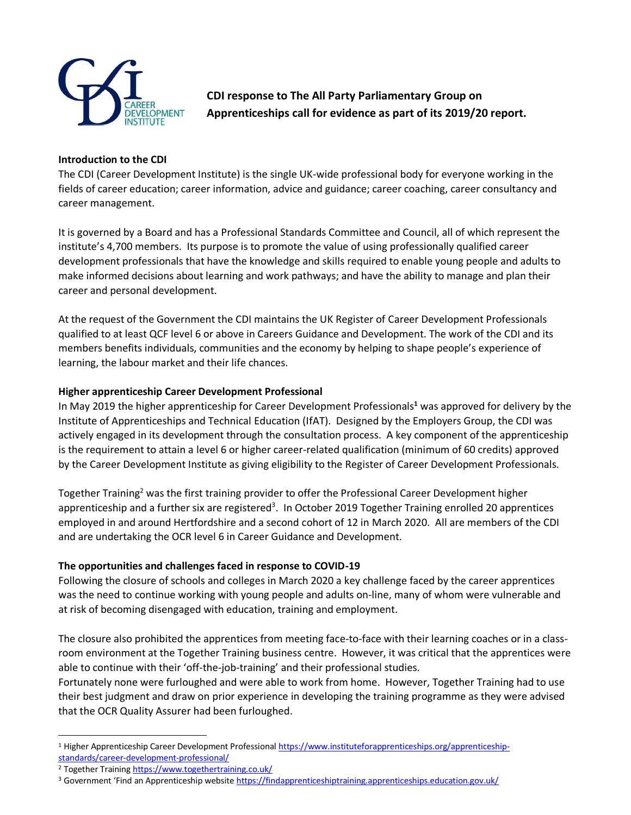

**CDI response to The All Party Parliamentary Group on Apprenticeships call for evidence as part of its 2019/20 report.**

#### **Introduction to the CDI**

The CDI (Career Development Institute) is the single UK-wide professional body for everyone working in the fields of career education; career information, advice and guidance; career coaching, career consultancy and career management.

It is governed by a Board and has a Professional Standards Committee and Council, all of which represent the institute's 4,700 members. Its purpose is to promote the value of using professionally qualified career development professionals that have the knowledge and skills required to enable young people and adults to make informed decisions about learning and work pathways; and have the ability to manage and plan their career and personal development.

At the request of the Government the CDI maintains the UK Register of Career Development Professionals qualified to at least QCF level 6 or above in Careers Guidance and Development. The work of the CDI and its members benefits individuals, communities and the economy by helping to shape people's experience of learning, the labour market and their life chances.

#### **Higher apprenticeship Career Development Professional**

In May 2019 the higher apprenticeship for Career Development Professionals**<sup>1</sup>** was approved for delivery by the Institute of Apprenticeships and Technical Education (IfAT). Designed by the Employers Group, the CDI was actively engaged in its development through the consultation process. A key component of the apprenticeship is the requirement to attain a level 6 or higher career-related qualification (minimum of 60 credits) approved by the Career Development Institute as giving eligibility to the Register of Career Development Professionals.

Together Training<sup>2</sup> was the first training provider to offer the Professional Career Development higher apprenticeship and a further six are registered<sup>3</sup>. In October 2019 Together Training enrolled 20 apprentices employed in and around Hertfordshire and a second cohort of 12 in March 2020. All are members of the CDI and are undertaking the OCR level 6 in Career Guidance and Development.

### **The opportunities and challenges faced in response to COVID-19**

Following the closure of schools and colleges in March 2020 a key challenge faced by the career apprentices was the need to continue working with young people and adults on-line, many of whom were vulnerable and at risk of becoming disengaged with education, training and employment.

The closure also prohibited the apprentices from meeting face-to-face with their learning coaches or in a classroom environment at the Together Training business centre. However, it was critical that the apprentices were able to continue with their 'off-the-job-training' and their professional studies.

Fortunately none were furloughed and were able to work from home. However, Together Training had to use their best judgment and draw on prior experience in developing the training programme as they were advised that the OCR Quality Assurer had been furloughed.

<sup>&</sup>lt;sup>1</sup> Higher Apprenticeship Career Development Professiona[l https://www.instituteforapprenticeships.org/apprenticeship](https://www.instituteforapprenticeships.org/apprenticeship-standards/career-development-professional/)[standards/career-development-professional/](https://www.instituteforapprenticeships.org/apprenticeship-standards/career-development-professional/)

<sup>&</sup>lt;sup>2</sup> Together Trainin[g https://www.togethertraining.co.uk/](https://www.togethertraining.co.uk/)

<sup>&</sup>lt;sup>3</sup> Government 'Find an Apprenticeship website <https://findapprenticeshiptraining.apprenticeships.education.gov.uk/>